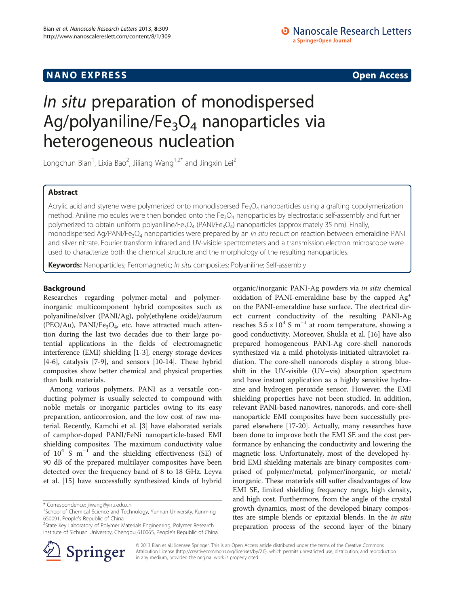# **NANO EXPRESS** Open Access and the set of the set of the set of the set of the set of the set of the set of the set of the set of the set of the set of the set of the set of the set of the set of the set of the set of the

# • Nanoscale Research Letters a SpringerOpen Journal

# In situ preparation of monodispersed Ag/polyaniline/Fe $_3O_4$  nanoparticles via heterogeneous nucleation

Longchun Bian<sup>1</sup>, Lixia Bao<sup>2</sup>, Jiliang Wang<sup>1,2\*</sup> and Jingxin Lei<sup>2</sup>

# Abstract

Acrylic acid and styrene were polymerized onto monodispersed  $Fe<sub>3</sub>O<sub>4</sub>$  nanoparticles using a grafting copolymerization method. Aniline molecules were then bonded onto the  $Fe<sub>3</sub>O<sub>4</sub>$  nanoparticles by electrostatic self-assembly and further polymerized to obtain uniform polyaniline/Fe<sub>3</sub>O<sub>4</sub> (PANI/Fe<sub>3</sub>O<sub>4</sub>) nanoparticles (approximately 35 nm). Finally, monodispersed Ag/PANI/Fe<sub>3</sub>O<sub>4</sub> nanoparticles were prepared by an *in situ* reduction reaction between emeraldine PANI and silver nitrate. Fourier transform infrared and UV-visible spectrometers and a transmission electron microscope were used to characterize both the chemical structure and the morphology of the resulting nanoparticles.

Keywords: Nanoparticles; Ferromagnetic; In situ composites; Polyaniline; Self-assembly

## Background

Researches regarding polymer-metal and polymerinorganic multicomponent hybrid composites such as polyaniline/silver (PANI/Ag), poly(ethylene oxide)/aurum (PEO/Au), PANI/Fe<sub>3</sub>O<sub>4</sub>, etc. have attracted much attention during the last two decades due to their large potential applications in the fields of electromagnetic interference (EMI) shielding [[1-3\]](#page-5-0), energy storage devices [[4-6\]](#page-5-0), catalysis [\[7](#page-5-0)-[9\]](#page-5-0), and sensors [\[10-14](#page-5-0)]. These hybrid composites show better chemical and physical properties than bulk materials.

Among various polymers, PANI as a versatile conducting polymer is usually selected to compound with noble metals or inorganic particles owing to its easy preparation, anticorrosion, and the low cost of raw material. Recently, Kamchi et al. [[3\]](#page-5-0) have elaborated serials of camphor-doped PANI/FeNi nanoparticle-based EMI shielding composites. The maximum conductivity value of  $10^4$  S m<sup>-1</sup> and the shielding effectiveness (SE) of 90 dB of the prepared multilayer composites have been detected over the frequency band of 8 to 18 GHz. Leyva et al. [[15](#page-5-0)] have successfully synthesized kinds of hybrid

<sup>&</sup>lt;sup>2</sup>State Key Laboratory of Polymer Materials Engineering, Polymer Research Institute of Sichuan University, Chengdu 610065, People's Republic of China





© 2013 Bian et al.; licensee Springer. This is an Open Access article distributed under the terms of the Creative Commons Attribution License [\(http://creativecommons.org/licenses/by/2.0\)](http://creativecommons.org/licenses/by/2.0), which permits unrestricted use, distribution, and reproduction in any medium, provided the original work is properly cited.

<sup>\*</sup> Correspondence: [jlwang@ynu.edu.cn](mailto:jlwang@ynu.edu.cn) <sup>1</sup>

<sup>&</sup>lt;sup>1</sup>School of Chemical Science and Technology, Yunnan University, Kunming 650091, People's Republic of China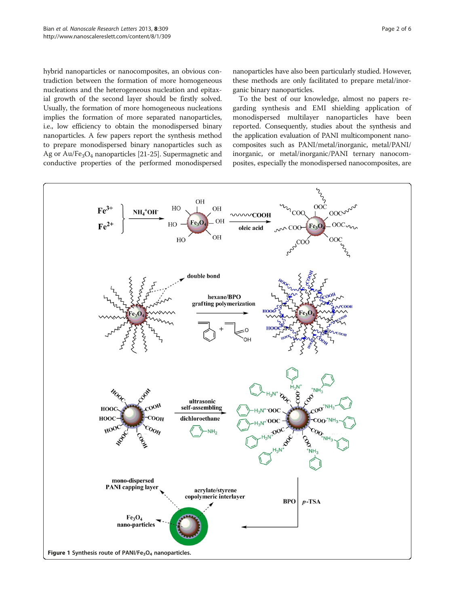<span id="page-1-0"></span>hybrid nanoparticles or nanocomposites, an obvious contradiction between the formation of more homogeneous nucleations and the heterogeneous nucleation and epitaxial growth of the second layer should be firstly solved. Usually, the formation of more homogeneous nucleations implies the formation of more separated nanoparticles, i.e., low efficiency to obtain the monodispersed binary nanoparticles. A few papers report the synthesis method to prepare monodispersed binary nanoparticles such as Ag or Au/Fe3O4 nanoparticles [\[21-25\]](#page-5-0). Supermagnetic and conductive properties of the performed monodispersed nanoparticles have also been particularly studied. However, these methods are only facilitated to prepare metal/inorganic binary nanoparticles.

To the best of our knowledge, almost no papers regarding synthesis and EMI shielding application of monodispersed multilayer nanoparticles have been reported. Consequently, studies about the synthesis and the application evaluation of PANI multicomponent nanocomposites such as PANI/metal/inorganic, metal/PANI/ inorganic, or metal/inorganic/PANI ternary nanocomposites, especially the monodispersed nanocomposites, are

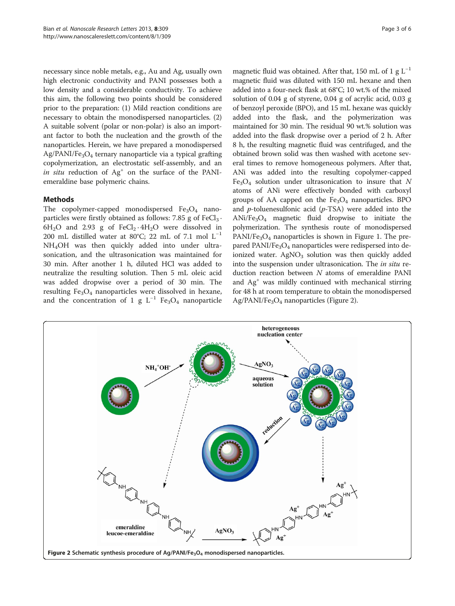necessary since noble metals, e.g., Au and Ag, usually own high electronic conductivity and PANI possesses both a low density and a considerable conductivity. To achieve this aim, the following two points should be considered prior to the preparation: (1) Mild reaction conditions are necessary to obtain the monodispersed nanoparticles. (2) A suitable solvent (polar or non-polar) is also an important factor to both the nucleation and the growth of the nanoparticles. Herein, we have prepared a monodispersed  $Ag/PANI/Fe<sub>3</sub>O<sub>4</sub>$  ternary nanoparticle via a typical grafting copolymerization, an electrostatic self-assembly, and an in situ reduction of  $Ag<sup>+</sup>$  on the surface of the PANIemeraldine base polymeric chains.

# Methods

The copolymer-capped monodispersed  $Fe<sub>3</sub>O<sub>4</sub>$  nanoparticles were firstly obtained as follows: 7.85 g of  $FeCl<sub>3</sub>$ .  $6H<sub>2</sub>O$  and 2.93 g of FeCl<sub>2</sub> · 4H<sub>2</sub>O were dissolved in 200 mL distilled water at 80°C; 22 mL of 7.1 mol  $L^{-1}$ NH4OH was then quickly added into under ultrasonication, and the ultrasonication was maintained for 30 min. After another 1 h, diluted HCl was added to neutralize the resulting solution. Then 5 mL oleic acid was added dropwise over a period of 30 min. The resulting  $Fe<sub>3</sub>O<sub>4</sub>$  nanoparticles were dissolved in hexane, and the concentration of 1 g  $L^{-1}$  Fe<sub>3</sub>O<sub>4</sub> nanoparticle

magnetic fluid was obtained. After that, 150 mL of 1 g  $L^{-1}$ magnetic fluid was diluted with 150 mL hexane and then added into a four-neck flask at 68°C; 10 wt.% of the mixed solution of 0.04 g of styrene, 0.04 g of acrylic acid, 0.03 g of benzoyl peroxide (BPO), and 15 mL hexane was quickly added into the flask, and the polymerization was maintained for 30 min. The residual 90 wt.% solution was added into the flask dropwise over a period of 2 h. After 8 h, the resulting magnetic fluid was centrifuged, and the obtained brown solid was then washed with acetone several times to remove homogeneous polymers. After that, ANi was added into the resulting copolymer-capped  $Fe<sub>3</sub>O<sub>4</sub>$  solution under ultrasonication to insure that N atoms of ANi were effectively bonded with carboxyl groups of AA capped on the  $Fe<sub>3</sub>O<sub>4</sub>$  nanoparticles. BPO and  $p$ -toluenesulfonic acid ( $p$ -TSA) were added into the  $ANi/Fe<sub>3</sub>O<sub>4</sub>$  magnetic fluid dropwise to initiate the polymerization. The synthesis route of monodispersed  $PANI/Fe<sub>3</sub>O<sub>4</sub>$  nanoparticles is shown in Figure [1](#page-1-0). The prepared PANI/Fe<sub>3</sub>O<sub>4</sub> nanoparticles were redispersed into deionized water.  $AgNO<sub>3</sub>$  solution was then quickly added into the suspension under ultrasonication. The in situ reduction reaction between N atoms of emeraldine PANI and  $Ag<sup>+</sup>$  was mildly continued with mechanical stirring for 48 h at room temperature to obtain the monodispersed Ag/PANI/Fe<sub>3</sub>O<sub>4</sub> nanoparticles (Figure 2).

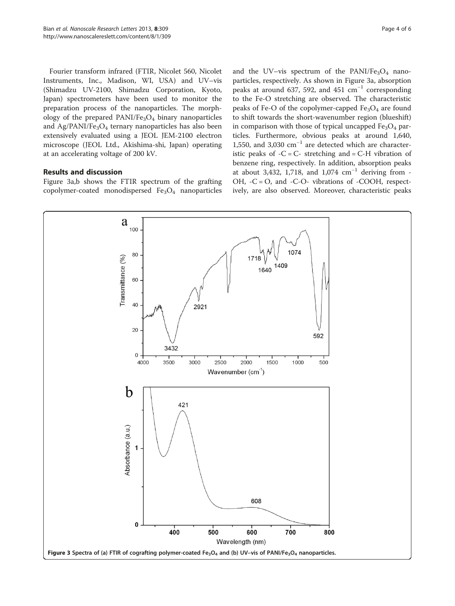<span id="page-3-0"></span>Fourier transform infrared (FTIR, Nicolet 560, Nicolet Instruments, Inc., Madison, WI, USA) and UV–vis (Shimadzu UV-2100, Shimadzu Corporation, Kyoto, Japan) spectrometers have been used to monitor the preparation process of the nanoparticles. The morphology of the prepared  $PANI/Fe<sub>3</sub>O<sub>4</sub>$  binary nanoparticles and  $Ag/PANI/Fe<sub>3</sub>O<sub>4</sub>$  ternary nanoparticles has also been extensively evaluated using a JEOL JEM-2100 electron microscope (JEOL Ltd., Akishima-shi, Japan) operating at an accelerating voltage of 200 kV.

## Results and discussion

Figure 3a,b shows the FTIR spectrum of the grafting copolymer-coated monodispersed  $Fe<sub>3</sub>O<sub>4</sub>$  nanoparticles

and the UV–vis spectrum of the PANI/Fe<sub>3</sub>O<sub>4</sub> nanoparticles, respectively. As shown in Figure 3a, absorption peaks at around 637, 592, and 451  $\text{cm}^{-1}$  corresponding to the Fe-O stretching are observed. The characteristic peaks of Fe-O of the copolymer-capped  $Fe<sub>3</sub>O<sub>4</sub>$  are found to shift towards the short-wavenumber region (blueshift) in comparison with those of typical uncapped  $Fe<sub>3</sub>O<sub>4</sub>$  particles. Furthermore, obvious peaks at around 1,640, 1,550, and 3,030 cm−<sup>1</sup> are detected which are characteristic peaks of  $-C = C$ - stretching and  $= C$ -H vibration of benzene ring, respectively. In addition, absorption peaks at about 3,432, 1,718, and 1,074  $\text{cm}^{-1}$  deriving from -OH,  $-C = O$ , and  $-C-O$ - vibrations of  $-COOH$ , respectively, are also observed. Moreover, characteristic peaks

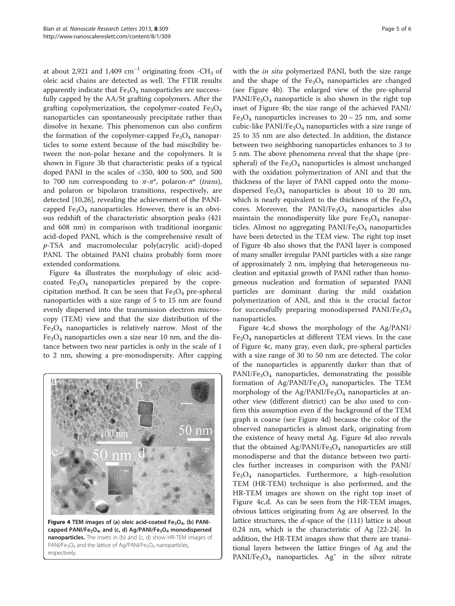at about 2,921 and 1,409  $cm^{-1}$  originating from -CH<sub>3</sub> of oleic acid chains are detected as well. The FTIR results apparently indicate that  $Fe<sub>3</sub>O<sub>4</sub>$  nanoparticles are successfully capped by the AA/St grafting copolymers. After the grafting copolymerization, the copolymer-coated  $Fe<sub>3</sub>O<sub>4</sub>$ nanoparticles can spontaneously precipitate rather than dissolve in hexane. This phenomenon can also confirm the formation of the copolymer-capped  $Fe<sub>3</sub>O<sub>4</sub>$  nanoparticles to some extent because of the bad miscibility between the non-polar hexane and the copolymers. It is shown in Figure [3](#page-3-0)b that characteristic peaks of a typical doped PANI in the scales of <350, 400 to 500, and 500 to 700 nm corresponding to  $\pi$ - $\pi^*$ , polaron- $\pi^*$  (trans), and polaron or bipolaron transitions, respectively, are detected [\[10,26](#page-5-0)], revealing the achievement of the PANIcapped  $Fe<sub>3</sub>O<sub>4</sub>$  nanoparticles. However, there is an obvious redshift of the characteristic absorption peaks (421 and 608 nm) in comparison with traditional inorganic acid-doped PANI, which is the comprehensive result of p-TSA and macromolecular poly(acrylic acid)-doped PANI. The obtained PANI chains probably form more extended conformations.

Figure 4a illustrates the morphology of oleic acidcoated  $Fe<sub>3</sub>O<sub>4</sub>$  nanoparticles prepared by the coprecipitation method. It can be seen that  $Fe<sub>3</sub>O<sub>4</sub>$  pre-spheral nanoparticles with a size range of 5 to 15 nm are found evenly dispersed into the transmission electron microscopy (TEM) view and that the size distribution of the  $Fe<sub>3</sub>O<sub>4</sub>$  nanoparticles is relatively narrow. Most of the  $Fe<sub>3</sub>O<sub>4</sub>$  nanoparticles own a size near 10 nm, and the distance between two near particles is only in the scale of 1 to 2 nm, showing a pre-monodispersity. After capping



Figure 4 TEM images of (a) oleic acid-coated  $Fe<sub>3</sub>O<sub>4</sub>$ , (b) PANIcapped PANI/Fe<sub>3</sub>O<sub>4</sub>, and (c, d) Ag/PANI/Fe<sub>3</sub>O<sub>4</sub> monodispersed nanoparticles. The insets in (b) and (c, d) show HR-TEM images of PANI/Fe<sub>3</sub>O<sub>4</sub> and the lattice of Ag/PANI/Fe<sub>3</sub>O<sub>4</sub> nanoparticles, respectively.

with the *in situ* polymerized PANI, both the size range and the shape of the  $Fe<sub>3</sub>O<sub>4</sub>$  nanoparticles are changed (see Figure 4b). The enlarged view of the pre-spheral  $PANI/Fe<sub>3</sub>O<sub>4</sub>$  nanoparticle is also shown in the right top inset of Figure 4b; the size range of the achieved PANI/ Fe<sub>3</sub>O<sub>4</sub> nanoparticles increases to  $20 \sim 25$  nm, and some cubic-like  $PANI/Fe<sub>3</sub>O<sub>4</sub>$  nanoparticles with a size range of 25 to 35 nm are also detected. In addition, the distance between two neighboring nanoparticles enhances to 3 to 5 nm. The above phenomena reveal that the shape (prespheral) of the  $Fe<sub>3</sub>O<sub>4</sub>$  nanoparticles is almost unchanged with the oxidation polymerization of ANI and that the thickness of the layer of PANI capped onto the monodispersed  $Fe<sub>3</sub>O<sub>4</sub>$  nanoparticles is about 10 to 20 nm, which is nearly equivalent to the thickness of the  $Fe<sub>3</sub>O<sub>4</sub>$ cores. Moreover, the PANI/Fe<sub>3</sub>O<sub>4</sub> nanoparticles also maintain the monodispersity like pure  $Fe<sub>3</sub>O<sub>4</sub>$  nanoparticles. Almost no aggregating  $PANI/Fe<sub>3</sub>O<sub>4</sub>$  nanoparticles have been detected in the TEM view. The right top inset of Figure 4b also shows that the PANI layer is composed of many smaller irregular PANI particles with a size range of approximately 2 nm, implying that heterogeneous nucleation and epitaxial growth of PANI rather than homogeneous nucleation and formation of separated PANI particles are dominant during the mild oxidation polymerization of ANI, and this is the crucial factor for successfully preparing monodispersed PANI/Fe<sub>3</sub>O<sub>4</sub> nanoparticles.

Figure 4c,d shows the morphology of the Ag/PANI/  $Fe<sub>3</sub>O<sub>4</sub>$  nanoparticles at different TEM views. In the case of Figure 4c, many gray, even dark, pre-spheral particles with a size range of 30 to 50 nm are detected. The color of the nanoparticles is apparently darker than that of  $PANI/Fe<sub>3</sub>O<sub>4</sub>$  nanoparticles, demonstrating the possible formation of  $Ag/PANI/Fe<sub>3</sub>O<sub>4</sub>$  nanoparticles. The TEM morphology of the Ag/PANI/Fe<sub>3</sub>O<sub>4</sub> nanoparticles at another view (different district) can be also used to confirm this assumption even if the background of the TEM graph is coarse (see Figure 4d) because the color of the observed nanoparticles is almost dark, originating from the existence of heavy metal Ag. Figure 4d also reveals that the obtained Ag/PANI/Fe<sub>3</sub>O<sub>4</sub> nanoparticles are still monodisperse and that the distance between two particles further increases in comparison with the PANI/  $Fe<sub>3</sub>O<sub>4</sub>$  nanoparticles. Furthermore, a high-resolution TEM (HR-TEM) technique is also performed, and the HR-TEM images are shown on the right top inset of Figure 4c,d. As can be seen from the HR-TEM images, obvious lattices originating from Ag are observed. In the lattice structures, the  $d$ -space of the  $(111)$  lattice is about 0.24 nm, which is the characteristic of Ag [[22-24\]](#page-5-0). In addition, the HR-TEM images show that there are transitional layers between the lattice fringes of Ag and the  $PANI/Fe<sub>3</sub>O<sub>4</sub>$  nanoparticles. Ag<sup>+</sup> in the silver nitrate